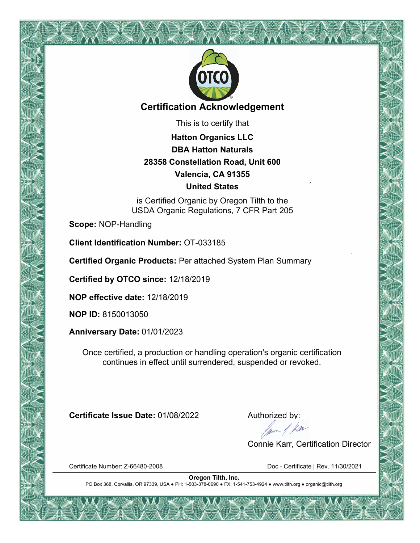

#### **Certification Acknowledgement**

This is to certify that

**Hatton Organics LLC DBA Hatton Naturals 28358 Constellation Road, Unit 600 Valencia, CA 91355 United States**

is Certified Organic by Oregon Tilth to the USDA Organic Regulations, 7 CFR Part 205

**Scope:** NOP-Handling

**Client Identification Number:** OT-033185

**Certified Organic Products:** Per attached System Plan Summary

**Certified by OTCO since:** 12/18/2019

**NOP effective date:** 12/18/2019

**NOP ID:** 8150013050

**Anniversary Date:** 01/01/2023

Once certified, a production or handling operation's organic certification continues in effect until surrendered, suspended or revoked.

**Certificate Issue Date:** 01/08/2022 Authorized by:<br>Authorized by:<br>Alternative data by:

Connie Karr, Certification Director

Certificate Number: Z-66480-2008 Doc - Certificate | Rev. 11/30/2021

**Oregon Tilth, Inc.** PO Box 368, Corvallis, OR 97339, USA ● PH: 1-503-378-0690 ● FX: 1-541-753-4924 ● www.tilth.org ● organic@tilth.org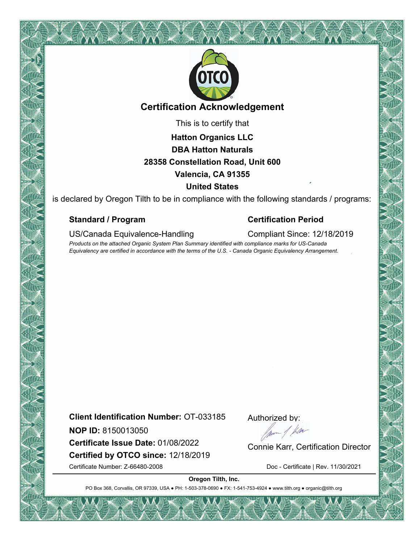

#### **Certification Acknowledgement**

This is to certify that

### **Hatton Organics LLC DBA Hatton Naturals 28358 Constellation Road, Unit 600 Valencia, CA 91355 United States**

is declared by Oregon Tilth to be in compliance with the following standards / programs:

#### **Standard / Program Certification Period**

#### US/Canada Equivalence-Handling Compliant Since: 12/18/2019

*Products on the attached Organic System Plan Summary identified with compliance marks for US-Canada Equivalency are certified in accordance with the terms of the U.S. - Canada Organic Equivalency Arrangement.*

**Client Identification Number:** OT-033185

**NOP ID:** 8150013050

**Certified by OTCO since:** 12/18/2019 **NOP ID:** 8150013050<br>**Certificate Issue Date:** 01/08/2022 Connie Karr, Certification Director

Certificate Number: Z-66480-2008 Doc - Certificate | Rev. 11/30/2021

Authorized by:

**Oregon Tilth, Inc.**

PO Box 368, Corvallis, OR 97339, USA . PH: 1-503-378-0690 · FX: 1-541-753-4924 · www.tilth.org · organic@tilth.org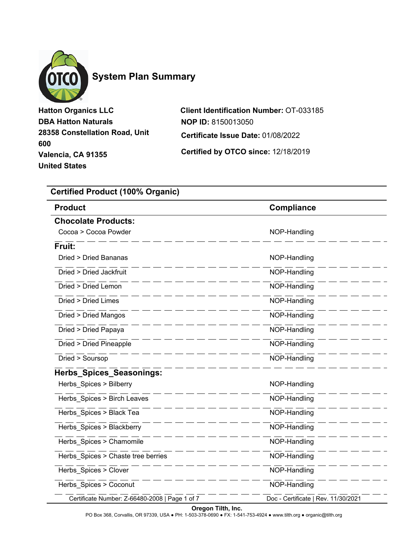

### **System Plan Summary**

**Hatton Organics LLC DBA Hatton Naturals 28358 Constellation Road, Unit 600 Valencia, CA 91355 United States**

**Client Identification Number:** OT-033185 **Certificate Issue Date:** 01/08/2022 **NOP ID:** 8150013050

**Certified by OTCO since:** 12/18/2019

#### **Certified Product (100% Organic)**

| <b>Product</b>                                 | <b>Compliance</b>                   |
|------------------------------------------------|-------------------------------------|
| <b>Chocolate Products:</b>                     |                                     |
| Cocoa > Cocoa Powder                           | NOP-Handling                        |
| Fruit:                                         |                                     |
| Dried > Dried Bananas                          | NOP-Handling                        |
| Dried > Dried Jackfruit                        | NOP-Handling                        |
| Dried > Dried Lemon                            | NOP-Handling                        |
| Dried > Dried Limes                            | NOP-Handling                        |
| Dried > Dried Mangos                           | NOP-Handling                        |
| Dried > Dried Papaya                           | NOP-Handling                        |
| Dried > Dried Pineapple                        | NOP-Handling                        |
| Dried > Soursop                                | NOP-Handling                        |
| Herbs_Spices_Seasonings:                       |                                     |
| Herbs_Spices > Bilberry                        | NOP-Handling                        |
| Herbs_Spices > Birch Leaves                    | NOP-Handling                        |
| Herbs_Spices > Black Tea                       | NOP-Handling                        |
| Herbs Spices > Blackberry                      | NOP-Handling                        |
| Herbs_Spices > Chamomile                       | NOP-Handling                        |
| Herbs_Spices > Chaste tree berries             | NOP-Handling                        |
| Herbs_Spices > Clover                          | NOP-Handling                        |
| Herbs_Spices > Coconut                         | NOP-Handling                        |
| Certificate Number: Z-66480-2008   Page 1 of 7 | Doc - Certificate   Rev. 11/30/2021 |

#### **Oregon Tilth, Inc.**

PO Box 368, Corvallis, OR 97339, USA ● PH: 1-503-378-0690 ● FX: 1-541-753-4924 ● www.tilth.org ● organic@tilth.org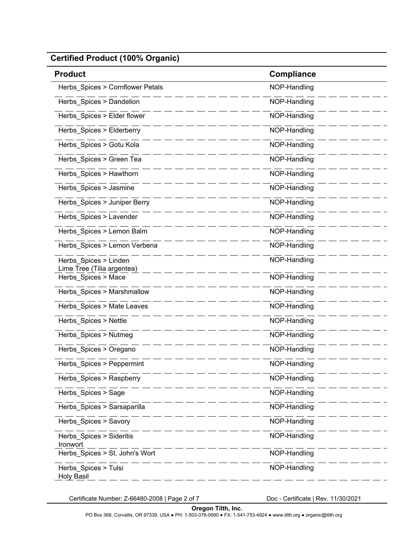| <b>Product</b>                                    | <b>Compliance</b> |
|---------------------------------------------------|-------------------|
| Herbs Spices > Cornflower Petals                  | NOP-Handling      |
| Herbs_Spices > Dandelion                          | NOP-Handling      |
| Herbs_Spices > Elder flower                       | NOP-Handling      |
| Herbs_Spices > Elderberry                         | NOP-Handling      |
| Herbs Spices > Gotu Kola                          | NOP-Handling      |
| Herbs_Spices > Green Tea                          | NOP-Handling      |
| Herbs_Spices > Hawthorn                           | NOP-Handling      |
| Herbs_Spices > Jasmine                            | NOP-Handling      |
| Herbs_Spices > Juniper Berry                      | NOP-Handling      |
| Herbs Spices > Lavender                           | NOP-Handling      |
| Herbs_Spices > Lemon Balm                         | NOP-Handling      |
| Herbs Spices > Lemon Verbena                      | NOP-Handling      |
| Herbs_Spices > Linden                             | NOP-Handling      |
| Lime Tree (Tilia argentea)<br>Herbs_Spices > Mace | NOP-Handling      |
| Herbs_Spices > Marshmallow                        | NOP-Handling      |
| Herbs_Spices > Mate Leaves                        | NOP-Handling      |
| Herbs_Spices > Nettle                             | NOP-Handling      |
| Herbs_Spices > Nutmeg                             | NOP-Handling      |
| Herbs_Spices > Oregano                            | NOP-Handling      |
| Herbs_Spices > Peppermint                         | NOP-Handling      |
| Herbs_Spices > Raspberry                          | NOP-Handling      |
| Herbs Spices > Sage                               | NOP-Handling      |
| Herbs_Spices > Sarsaparilla                       | NOP-Handling      |
| Herbs Spices > Savory                             | NOP-Handling      |
| Herbs_Spices > Sideritis<br>Ironwort              | NOP-Handling      |
| Herbs_Spices > St. John's Wort                    | NOP-Handling      |
| Herbs_Spices > Tulsi<br><b>Holy Basil</b>         | NOP-Handling      |

Certificate Number: Z-66480-2008 | Page 2 of 7 Doc - Certificate | Rev. 11/30/2021

PO Box 368, Corvallis, OR 97339, USA ● PH: 1-503-378-0690 ● FX: 1-541-753-4924 ● www.tilth.org ● organic@tilth.org **Oregon Tilth, Inc.**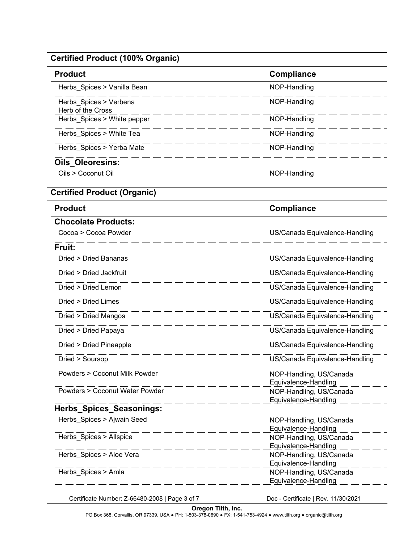| Certified Product (100% Organic)            |                                                 |
|---------------------------------------------|-------------------------------------------------|
| <b>Product</b>                              | <b>Compliance</b>                               |
| Herbs_Spices > Vanilla Bean                 | NOP-Handling                                    |
| Herbs Spices > Verbena<br>Herb of the Cross | NOP-Handling                                    |
| Herbs_Spices > White pepper                 | NOP-Handling                                    |
| Herbs Spices > White Tea                    | NOP-Handling                                    |
| Herbs Spices > Yerba Mate                   | NOP-Handling                                    |
| <b>Oils Oleoresins:</b>                     |                                                 |
| Oils > Coconut Oil                          | NOP-Handling                                    |
| <b>Certified Product (Organic)</b>          |                                                 |
| <b>Product</b>                              | <b>Compliance</b>                               |
| <b>Chocolate Products:</b>                  |                                                 |
| Cocoa > Cocoa Powder                        | US/Canada Equivalence-Handling                  |
| Fruit:                                      |                                                 |
| Dried > Dried Bananas                       | US/Canada Equivalence-Handling                  |
| Dried > Dried Jackfruit                     | US/Canada Equivalence-Handling                  |
| Dried > Dried Lemon                         | US/Canada Equivalence-Handling                  |
| Dried > Dried Limes                         | US/Canada Equivalence-Handling                  |
| Dried > Dried Mangos                        | US/Canada Equivalence-Handling                  |
| Dried > Dried Papaya                        | US/Canada Equivalence-Handling                  |
| Dried > Dried Pineapple                     | US/Canada Equivalence-Handling                  |
| Dried > Soursop                             | US/Canada Equivalence-Handling                  |
| <b>Powders &gt; Coconut Milk Powder</b>     | NOP-Handling, US/Canada                         |
| <b>Powders &gt; Coconut Water Powder</b>    | Equivalence-Handling<br>NOP-Handling, US/Canada |
|                                             | Equivalence-Handling                            |
| <b>Herbs Spices Seasonings:</b>             |                                                 |
| Herbs Spices > Ajwain Seed                  | NOP-Handling, US/Canada                         |
|                                             | Equivalence-Handling                            |
| Herbs_Spices > Allspice                     | NOP-Handling, US/Canada                         |
|                                             | Equivalence-Handling                            |

Herbs\_Spices > Amla NOP-Handling, US/Canada

Certificate Number: Z-66480-2008 | Page 3 of 7 Doc - Certificate | Rev. 11/30/2021

Equivalence-Handling \_\_ \_ \_

 $=$   $-$ 

 $\overline{\phantom{a}}$ 

- - -

Equivalence-Handling

PO Box 368, Corvallis, OR 97339, USA ● PH: 1-503-378-0690 ● FX: 1-541-753-4924 ● www.tilth.org ● organic@tilth.org **Oregon Tilth, Inc.**

 $\frac{1}{10}$   $\frac{1}{10}$   $\frac{1}{10}$   $\frac{1}{10}$   $\frac{1}{10}$   $\frac{1}{10}$   $\frac{1}{10}$   $\frac{1}{10}$   $\frac{1}{10}$   $\frac{1}{10}$   $\frac{1}{10}$   $\frac{1}{10}$   $\frac{1}{10}$   $\frac{1}{10}$   $\frac{1}{10}$   $\frac{1}{10}$   $\frac{1}{10}$   $\frac{1}{10}$   $\frac{1}{10}$   $\frac{1}{10}$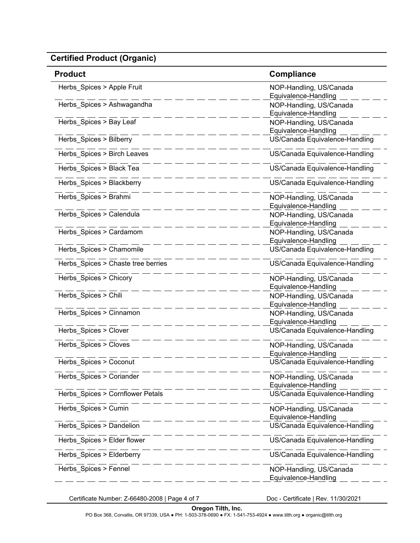| <b>Product</b>                     | <b>Compliance</b>                               |
|------------------------------------|-------------------------------------------------|
| Herbs Spices > Apple Fruit         | NOP-Handling, US/Canada<br>Equivalence-Handling |
| Herbs Spices > Ashwagandha         | NOP-Handling, US/Canada<br>Equivalence-Handling |
| Herbs_Spices > Bay Leaf            | NOP-Handling, US/Canada<br>Equivalence-Handling |
| Herbs_Spices > Bilberry            | US/Canada Equivalence-Handling                  |
| Herbs_Spices > Birch Leaves        | US/Canada Equivalence-Handling                  |
| Herbs_Spices > Black Tea           | US/Canada Equivalence-Handling                  |
| Herbs_Spices > Blackberry          | US/Canada Equivalence-Handling                  |
| Herbs_Spices > Brahmi              | NOP-Handling, US/Canada<br>Equivalence-Handling |
| Herbs_Spices > Calendula           | NOP-Handling, US/Canada<br>Equivalence-Handling |
| Herbs Spices > Cardamom            | NOP-Handling, US/Canada<br>Equivalence-Handling |
| Herbs_Spices > Chamomile           | US/Canada Equivalence-Handling                  |
| Herbs_Spices > Chaste tree berries | US/Canada Equivalence-Handling                  |
| Herbs_Spices > Chicory             | NOP-Handling, US/Canada<br>Equivalence-Handling |
| Herbs_Spices > Chili               | NOP-Handling, US/Canada<br>Equivalence-Handling |
| Herbs_Spices > Cinnamon            | NOP-Handling, US/Canada<br>Equivalence-Handling |
| Herbs_Spices > Clover              | US/Canada Equivalence-Handling                  |
| Herbs_Spices > Cloves              | NOP-Handling, US/Canada<br>Equivalence-Handling |
| Herbs_Spices > Coconut             | US/Canada Equivalence-Handling                  |
| Herbs_Spices > Coriander           | NOP-Handling, US/Canada<br>Equivalence-Handling |
| Herbs_Spices > Cornflower Petals   | US/Canada Equivalence-Handling                  |
| Herbs_Spices > Cumin               | NOP-Handling, US/Canada<br>Equivalence-Handling |
| Herbs_Spices > Dandelion           | US/Canada Equivalence-Handling                  |
| Herbs_Spices > Elder flower        | US/Canada Equivalence-Handling                  |
| Herbs_Spices > Elderberry          | US/Canada Equivalence-Handling                  |
| Herbs_Spices > Fennel              | NOP-Handling, US/Canada<br>Equivalence-Handling |

Certificate Number: Z-66480-2008 | Page 4 of 7 Doc - Certificate | Rev. 11/30/2021

**Oregon Tilth, Inc.**

PO Box 368, Corvallis, OR 97339, USA ● PH: 1-503-378-0690 ● FX: 1-541-753-4924 ● www.tilth.org ● organic@tilth.org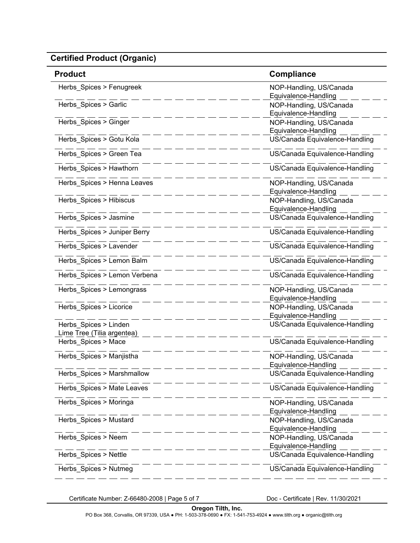| <b>Product</b>                                      | <b>Compliance</b>                               |
|-----------------------------------------------------|-------------------------------------------------|
| Herbs Spices > Fenugreek                            | NOP-Handling, US/Canada<br>Equivalence-Handling |
| Herbs_Spices > Garlic                               | NOP-Handling, US/Canada<br>Equivalence-Handling |
| Herbs_Spices > Ginger                               | NOP-Handling, US/Canada<br>Equivalence-Handling |
| Herbs Spices > Gotu Kola                            | US/Canada Equivalence-Handling                  |
| Herbs_Spices > Green Tea                            | US/Canada Equivalence-Handling                  |
| Herbs_Spices > Hawthorn                             | US/Canada Equivalence-Handling                  |
| Herbs_Spices > Henna Leaves                         | NOP-Handling, US/Canada<br>Equivalence-Handling |
| Herbs_Spices > Hibiscus                             | NOP-Handling, US/Canada<br>Equivalence-Handling |
| Herbs_Spices > Jasmine                              | US/Canada Equivalence-Handling                  |
| Herbs_Spices > Juniper Berry                        | US/Canada Equivalence-Handling                  |
| Herbs_Spices > Lavender                             | US/Canada Equivalence-Handling                  |
| Herbs Spices > Lemon Balm                           | US/Canada Equivalence-Handling                  |
| Herbs_Spices > Lemon Verbena                        | US/Canada Equivalence-Handling                  |
| Herbs_Spices > Lemongrass                           | NOP-Handling, US/Canada<br>Equivalence-Handling |
| Herbs_Spices > Licorice                             | NOP-Handling, US/Canada<br>Equivalence-Handling |
| Herbs_Spices > Linden<br>Lime Tree (Tilia argentea) | US/Canada Equivalence-Handling                  |
| Herbs Spices > Mace                                 | US/Canada Equivalence-Handling                  |
| Herbs_Spices > Manjistha                            | NOP-Handling, US/Canada<br>Equivalence-Handling |
| Herbs_Spices > Marshmallow                          | US/Canada Equivalence-Handling                  |
| Herbs_Spices > Mate Leaves                          | US/Canada Equivalence-Handling                  |
| Herbs_Spices > Moringa                              | NOP-Handling, US/Canada<br>Equivalence-Handling |
| Herbs Spices > Mustard                              | NOP-Handling, US/Canada<br>Equivalence-Handling |
| Herbs_Spices > Neem                                 | NOP-Handling, US/Canada<br>Equivalence-Handling |
| Herbs_Spices > Nettle                               | US/Canada Equivalence-Handling                  |
| Herbs_Spices > Nutmeg                               | US/Canada Equivalence-Handling                  |

Certificate Number: Z-66480-2008 | Page 5 of 7 Doc - Certificate | Rev. 11/30/2021

PO Box 368, Corvallis, OR 97339, USA ● PH: 1-503-378-0690 ● FX: 1-541-753-4924 ● www.tilth.org ● organic@tilth.org **Oregon Tilth, Inc.**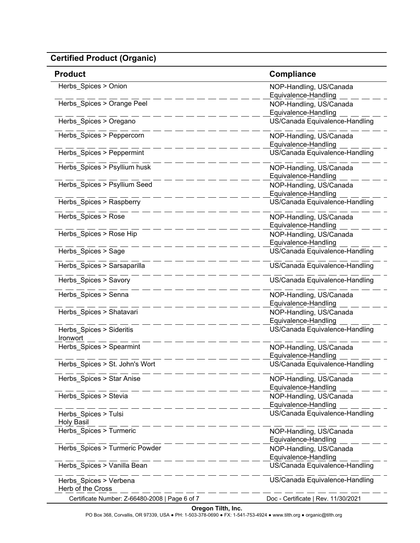| <b>Product</b>                                 | Compliance                                      |
|------------------------------------------------|-------------------------------------------------|
| Herbs_Spices > Onion                           | NOP-Handling, US/Canada<br>Equivalence-Handling |
| Herbs_Spices > Orange Peel                     | NOP-Handling, US/Canada<br>Equivalence-Handling |
| Herbs Spices > Oregano                         | US/Canada Equivalence-Handling                  |
| Herbs Spices > Peppercorn                      | NOP-Handling, US/Canada<br>Equivalence-Handling |
| Herbs Spices > Peppermint                      | US/Canada Equivalence-Handling                  |
| Herbs_Spices > Psyllium husk                   | NOP-Handling, US/Canada<br>Equivalence-Handling |
| Herbs_Spices > Psyllium Seed                   | NOP-Handling, US/Canada<br>Equivalence-Handling |
| Herbs Spices > Raspberry                       | US/Canada Equivalence-Handling                  |
| Herbs_Spices > Rose                            | NOP-Handling, US/Canada<br>Equivalence-Handling |
| Herbs Spices > Rose Hip                        | NOP-Handling, US/Canada<br>Equivalence-Handling |
| Herbs Spices > Sage                            | US/Canada Equivalence-Handling                  |
| Herbs Spices > Sarsaparilla                    | US/Canada Equivalence-Handling                  |
| Herbs Spices > Savory                          | US/Canada Equivalence-Handling                  |
| Herbs_Spices > Senna                           | NOP-Handling, US/Canada<br>Equivalence-Handling |
| Herbs_Spices > Shatavari                       | NOP-Handling, US/Canada<br>Equivalence-Handling |
| Herbs_Spices > Sideritis<br>Ironwort           | US/Canada Equivalence-Handling                  |
| Herbs_Spices > Spearmint                       | NOP-Handling, US/Canada<br>Equivalence-Handling |
| Herbs_Spices > St. John's Wort                 | US/Canada Equivalence-Handling                  |
| Herbs Spices > Star Anise                      | NOP-Handling, US/Canada<br>Equivalence-Handling |
| Herbs_Spices > Stevia                          | NOP-Handling, US/Canada<br>Equivalence-Handling |
| Herbs Spices > Tulsi<br><b>Holy Basil</b>      | US/Canada Equivalence-Handling                  |
| Herbs_Spices > Turmeric                        | NOP-Handling, US/Canada<br>Equivalence-Handling |
| Herbs_Spices > Turmeric Powder                 | NOP-Handling, US/Canada<br>Equivalence-Handling |
| Herbs_Spices > Vanilla Bean                    | US/Canada Equivalence-Handling                  |
| Herbs_Spices > Verbena<br>Herb of the Cross    | US/Canada Equivalence-Handling                  |
| Certificate Number: Z-66480-2008   Page 6 of 7 | Doc - Certificate   Rev. 11/30/2021             |

PO Box 368, Corvallis, OR 97339, USA ● PH: 1-503-378-0690 ● FX: 1-541-753-4924 ● www.tilth.org ● organic@tilth.org